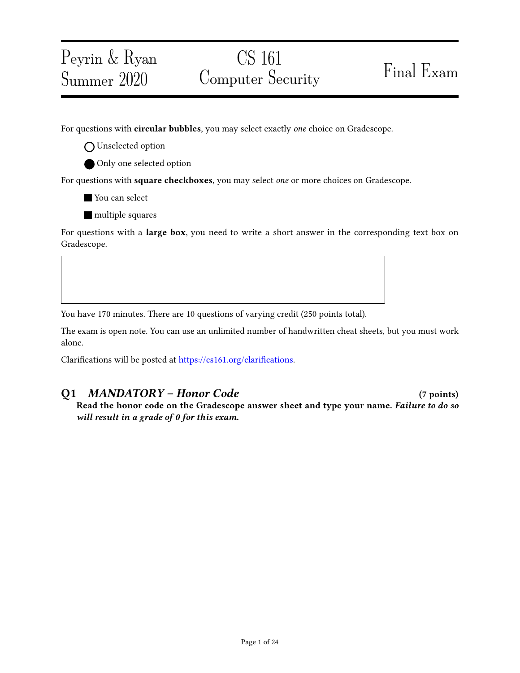## CS 161 Computer Security Final Exam

For questions with circular bubbles, you may select exactly one choice on Gradescope.

O Unselected option

Peyrin & Ryan

Summer 2020

Only one selected option

For questions with square checkboxes, you may select one or more choices on Gradescope.

**You can select** 

**multiple squares** 

For questions with a large box, you need to write a short answer in the corresponding text box on Gradescope.

You have 170 minutes. There are 10 questions of varying credit (250 points total).

The exam is open note. You can use an unlimited number of handwritten cheat sheets, but you must work alone.

Clarifications will be posted at https://cs161.org/clarifications.

### Q1 MANDATORY – Honor Code (7 points)

Read the honor code on the Gradescope answer sheet and type your name. Failure to do so will result in a grade of 0 for this exam.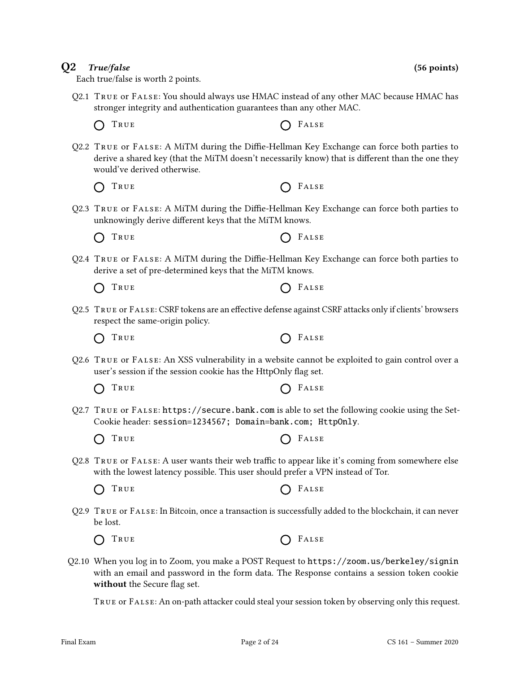# Each true/false is worth 2 points.

- Q2.1 True or False: You should always use HMAC instead of any other MAC because HMAC has stronger integrity and authentication guarantees than any other MAC.
	- $\bigcap$  True  $\bigcap$  False
- Q2.2 TRUE or FALSE: A MiTM during the Diffie-Hellman Key Exchange can force both parties to derive a shared key (that the MiTM doesn't necessarily know) that is different than the one they would've derived otherwise.
	- $\bigcap$  True  $\bigcap$  False
- Q2.3 TRUE or FALSE: A MiTM during the Diffie-Hellman Key Exchange can force both parties to unknowingly derive different keys that the MiTM knows.
	- TRUE **CONSTRUE**
- Q2.4 TRUE or FALSE: A MiTM during the Diffie-Hellman Key Exchange can force both parties to derive a set of pre-determined keys that the MiTM knows.

| O TRUE | $O$ FALSE |
|--------|-----------|
|--------|-----------|

- Q2.5 TRUE or FALSE: CSRF tokens are an effective defense against CSRF attacks only if clients' browsers respect the same-origin policy.
	- $\bigcap$  True  $\bigcap$  False
- Q2.6 True or False: An XSS vulnerability in a website cannot be exploited to gain control over a user's session if the session cookie has the HttpOnly flag set.
	- $\bigcap$  True  $\bigcap$  False
- Q2.7 True or False: https://secure.bank.com is able to set the following cookie using the Set-Cookie header: session=1234567; Domain=bank.com; HttpOnly.
	- $\bigcap$  True  $\bigcap$  False
- Q2.8 TRUE or FALSE: A user wants their web traffic to appear like it's coming from somewhere else with the lowest latency possible. This user should prefer a VPN instead of Tor.
	- TRUE **CONSTRUE**  $\left(\begin{array}{c} \end{array}\right)$
- Q2.9 True or False: In Bitcoin, once a transaction is successfully added to the blockchain, it can never be lost.

 $T_{\text{RUE}}$   $T_{\text{RUSE}}$  $\bigcap$ 

Q2.10 When you log in to Zoom, you make a POST Request to https://zoom.us/berkeley/signin with an email and password in the form data. The Response contains a session token cookie without the Secure flag set.

True or False: An on-path attacker could steal your session token by observing only this request.

 $Q2$  True/false (56 points)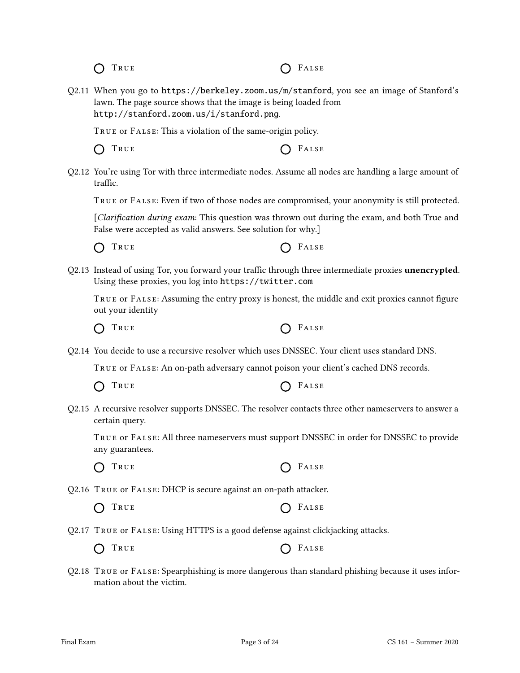$\bigcap$  True  $\bigcap$  False

Q2.11 When you go to https://berkeley.zoom.us/m/stanford, you see an image of Stanford's lawn. The page source shows that the image is being loaded from http://stanford.zoom.us/i/stanford.png.

True or False: This a violation of the same-origin policy.

 $\bigcap$  True  $\bigcap$  False

Q2.12 You're using Tor with three intermediate nodes. Assume all nodes are handling a large amount of traffic.

True or False: Even if two of those nodes are compromised, your anonymity is still protected.

[Clarification during exam: This question was thrown out during the exam, and both True and False were accepted as valid answers. See solution for why.]

 $\bigcap$  True  $\bigcap$  False

Q2.13 Instead of using Tor, you forward your traffic through three intermediate proxies unencrypted. Using these proxies, you log into https://twitter.com

TRUE OF FALSE: Assuming the entry proxy is honest, the middle and exit proxies cannot figure out your identity

True False

Q2.14 You decide to use a recursive resolver which uses DNSSEC. Your client uses standard DNS.

True or False: An on-path adversary cannot poison your client's cached DNS records.

| O TRUE | $O$ FALSE |
|--------|-----------|
|--------|-----------|

Q2.15 A recursive resolver supports DNSSEC. The resolver contacts three other nameservers to answer a certain query.

True or False: All three nameservers must support DNSSEC in order for DNSSEC to provide any guarantees.

 $\bigcap$  True  $\bigcap$  False

Q2.16 True or False: DHCP is secure against an on-path attacker.

- $\bigcap$  True  $\bigcap$  False
- Q2.17 True or False: Using HTTPS is a good defense against clickjacking attacks.

|  | O TRUE |  |  | $O$ FALSE |
|--|--------|--|--|-----------|
|--|--------|--|--|-----------|

Q2.18 True or False: Spearphishing is more dangerous than standard phishing because it uses information about the victim.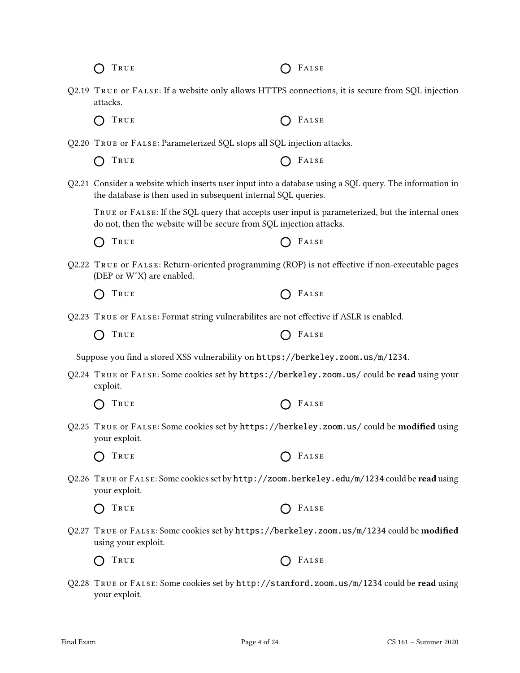| TRUE                                                                                                                                                                     | FALSE                                                                                           |
|--------------------------------------------------------------------------------------------------------------------------------------------------------------------------|-------------------------------------------------------------------------------------------------|
| Q2.19 TRUE or FALSE: If a website only allows HTTPS connections, it is secure from SQL injection<br>attacks.                                                             |                                                                                                 |
| TRUE                                                                                                                                                                     | FALSE                                                                                           |
| Q2.20 TRUE or FALSE: Parameterized SQL stops all SQL injection attacks.                                                                                                  |                                                                                                 |
| TRUE                                                                                                                                                                     | FALSE                                                                                           |
| Q2.21 Consider a website which inserts user input into a database using a SQL query. The information in<br>the database is then used in subsequent internal SQL queries. |                                                                                                 |
| do not, then the website will be secure from SQL injection attacks.                                                                                                      | TRUE OF FALSE: If the SQL query that accepts user input is parameterized, but the internal ones |
| TRUE                                                                                                                                                                     | FALSE                                                                                           |
| Q2.22 TRUE or FALSE: Return-oriented programming (ROP) is not effective if non-executable pages<br>(DEP or W^X) are enabled.                                             |                                                                                                 |
| TRUE                                                                                                                                                                     | FALSE                                                                                           |
| Q2.23 TRUE OF FALSE: Format string vulnerabilites are not effective if ASLR is enabled.                                                                                  |                                                                                                 |
| TRUE                                                                                                                                                                     | FALSE                                                                                           |
| Suppose you find a stored XSS vulnerability on https://berkeley.zoom.us/m/1234.                                                                                          |                                                                                                 |
| Q2.24 TRUE or FALSE: Some cookies set by https://berkeley.zoom.us/ could be read using your<br>exploit.                                                                  |                                                                                                 |
| TRUE                                                                                                                                                                     | FALSE                                                                                           |
| Q2.25 TRUE or FALSE: Some cookies set by https://berkeley.zoom.us/ could be modified using<br>your exploit.                                                              |                                                                                                 |
| TRUE                                                                                                                                                                     | FALSE                                                                                           |
| Q2.26 TRUE or FALSE: Some cookies set by http://zoom.berkeley.edu/m/1234 could be read using<br>your exploit.                                                            |                                                                                                 |
| TRUE                                                                                                                                                                     | FALSE                                                                                           |
| Q2.27 TRUE or FALSE: Some cookies set by https://berkeley.zoom.us/m/1234 could be modified<br>using your exploit.                                                        |                                                                                                 |
| TRUE                                                                                                                                                                     | FALSE                                                                                           |
| Q2.28 TRUE or FALSE: Some cookies set by http://stanford.zoom.us/m/1234 could be read using<br>your exploit.                                                             |                                                                                                 |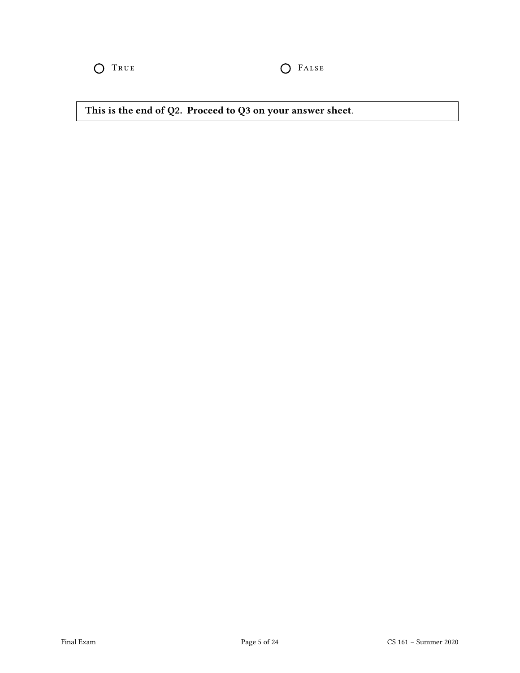O TRUE O FALSE

This is the end of Q2. Proceed to Q3 on your answer sheet.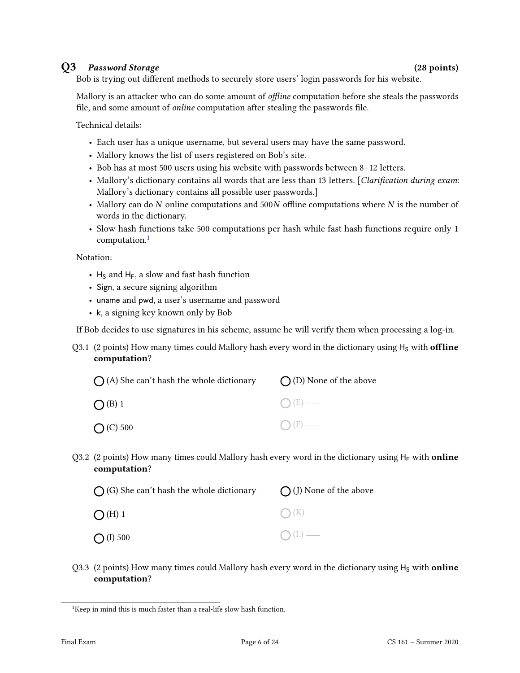### Q3 Password Storage (28 points)

Bob is trying out different methods to securely store users' login passwords for his website.

Mallory is an attacker who can do some amount of *offline* computation before she steals the passwords file, and some amount of *online* computation after stealing the passwords file.

Technical details:

- Each user has a unique username, but several users may have the same password.
- Mallory knows the list of users registered on Bob's site.
- Bob has at most 500 users using his website with passwords between 8–12 letters.
- Mallory's dictionary contains all words that are less than 13 letters. [Clarification during exam: Mallory's dictionary contains all possible user passwords.]
- Mallory can do  $N$  online computations and 500 $N$  offline computations where  $N$  is the number of words in the dictionary.
- Slow hash functions take 500 computations per hash while fast hash functions require only 1 computation.<sup>[1](#page-5-0)</sup>

Notation:

- $H_S$  and  $H_F$ , a slow and fast hash function
- Sign, a secure signing algorithm
- uname and pwd, a user's username and password
- k, a signing key known only by Bob

If Bob decides to use signatures in his scheme, assume he will verify them when processing a log-in.

Q3.1 (2 points) How many times could Mallory hash every word in the dictionary using  $H<sub>S</sub>$  with **offline** computation?

| $\bigcap$ (A) She can't hash the whole dictionary | $\bigcap$ (D) None of the above |
|---------------------------------------------------|---------------------------------|
| O(B)1                                             | $\bigcap (E)$ —                 |
| $O(C)$ 500                                        | $\bigcap$ (F) —                 |

Q3.2 (2 points) How many times could Mallory hash every word in the dictionary using  $H_F$  with **online** computation?

| $\bigcap$ (G) She can't hash the whole dictionary | $\bigcap$ (J) None of the above |
|---------------------------------------------------|---------------------------------|
| $\bigcap$ (H) 1                                   | $\bigcap (K)$ —                 |
| $\bigcirc$ (I) 500                                | $O(L)$ —                        |

Q3.3 (2 points) How many times could Mallory hash every word in the dictionary using  $H<sub>S</sub>$  with online computation?

<span id="page-5-0"></span><sup>&</sup>lt;sup>1</sup>Keep in mind this is much faster than a real-life slow hash function.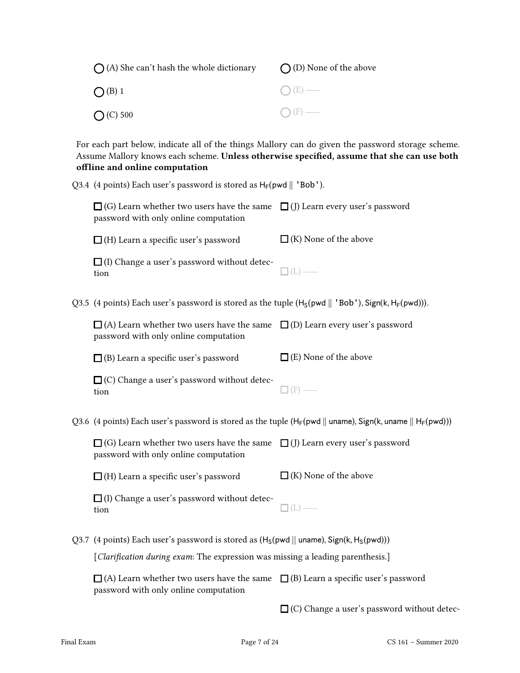| $\bigcap$ (A) She can't hash the whole dictionary | $\bigcap$ (D) None of the above |
|---------------------------------------------------|---------------------------------|
| $\bigcap$ (B) 1                                   | $\bigcap (E)$ —                 |
| $O(C)$ 500                                        | $\bigcap$ (F) —                 |

For each part below, indicate all of the things Mallory can do given the password storage scheme. Assume Mallory knows each scheme. Unless otherwise specified, assume that she can use both offline and online computation

| Q3.4 (4 points) Each user's password is stored as $H_F(pwd    'Bob').$                                                                |                                                    |
|---------------------------------------------------------------------------------------------------------------------------------------|----------------------------------------------------|
| $\Box$ (G) Learn whether two users have the same $\Box$ (J) Learn every user's password<br>password with only online computation      |                                                    |
| $\Box$ (H) Learn a specific user's password                                                                                           | $\Box$ (K) None of the above                       |
| $\Box$ (I) Change a user's password without detec-<br>tion                                                                            | $\mathbb{I}\left( \mathrm{L}\right)$ –             |
| Q3.5 (4 points) Each user's password is stored as the tuple $(H_S(pwd    'Bob'), Sign(k, H_F(pwd)))$ .                                |                                                    |
| $\Box$ (A) Learn whether two users have the same $\Box$ (D) Learn every user's password<br>password with only online computation      |                                                    |
| $\Box$ (B) Learn a specific user's password                                                                                           | $\Box$ (E) None of the above                       |
| $\Box$ (C) Change a user's password without detec-<br>tion                                                                            | $\Box$ (F) -                                       |
| Q3.6 (4 points) Each user's password is stored as the tuple ( $H_F(pwd    uname)$ , Sign(k, uname $   H_F(pwd)$ ))                    |                                                    |
| $\Box$ (G) Learn whether two users have the same $\Box$ (J) Learn every user's password<br>password with only online computation      |                                                    |
| $\Box$ (H) Learn a specific user's password                                                                                           | $\Box$ (K) None of the above                       |
| $\Box$ (I) Change a user's password without detec-<br>tion                                                                            | $\Box$ (L) -                                       |
| Q3.7 (4 points) Each user's password is stored as $(H_S(pwd    uname), Sign(k, H_S(pwd)))$                                            |                                                    |
| [Clarification during exam: The expression was missing a leading parenthesis.]                                                        |                                                    |
| $\Box$ (A) Learn whether two users have the same $\Box$ (B) Learn a specific user's password<br>password with only online computation |                                                    |
|                                                                                                                                       | $\Box$ (C) Change a user's password without detec- |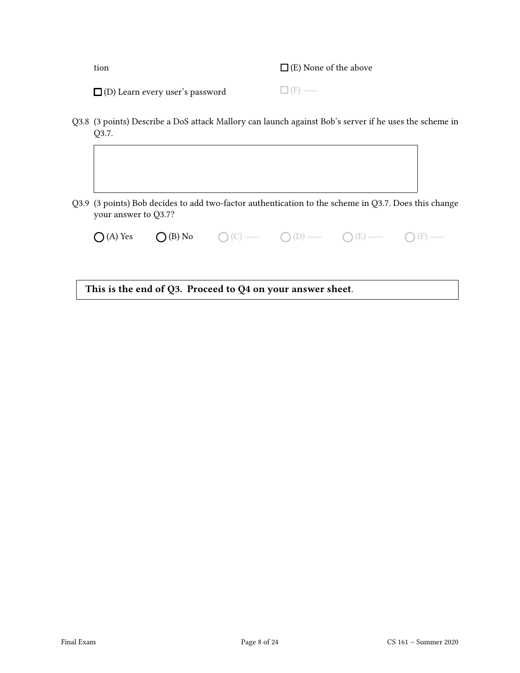tion

 $\Box$  (E) None of the above

 $\square$  (F) —

□ (D) Learn every user's password

your answer to Q3.7?

Q3.8 (3 points) Describe a DoS attack Mallory can launch against Bob's server if he uses the scheme in Q3.7.

Q3.9 (3 points) Bob decides to add two-factor authentication to the scheme in Q3.7. Does this change

 $\bigcap (A)$  Yes  $\bigcap (B)$  No  $\bigcirc$  (C)  $\longrightarrow$   $\bigcirc$  (D)  $\longrightarrow$   $\bigcirc$  (E)  $\longrightarrow$   $\bigcirc$  (F)  $\longrightarrow$ 

This is the end of Q3. Proceed to Q4 on your answer sheet.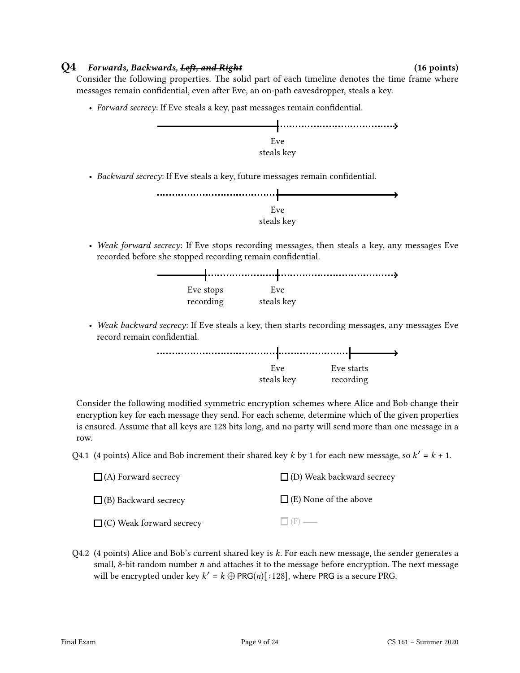### $Q4$  Forwards, Backwards, Left, and Right (16 points) (16 points)

Consider the following properties. The solid part of each timeline denotes the time frame where messages remain confidential, even after Eve, an on-path eavesdropper, steals a key.

• Forward secrecy: If Eve steals a key, past messages remain confidential.

recording



• Weak backward secrecy: If Eve steals a key, then starts recording messages, any messages Eve record remain confidential.

steals key



Consider the following modified symmetric encryption schemes where Alice and Bob change their encryption key for each message they send. For each scheme, determine which of the given properties is ensured. Assume that all keys are 128 bits long, and no party will send more than one message in a row.

Q4.1 (4 points) Alice and Bob increment their shared key k by 1 for each new message, so  $k' = k + 1$ .

| $\Box$ (A) Forward secrecy      | $\Box$ (D) Weak backward secrecy |
|---------------------------------|----------------------------------|
| $\Box$ (B) Backward secrecy     | $\Box$ (E) None of the above     |
| $\Box$ (C) Weak forward secrecy | $\Box$ (F) —                     |

Q4.2 (4 points) Alice and Bob's current shared key is  $k$ . For each new message, the sender generates a small, 8-bit random number  $n$  and attaches it to the message before encryption. The next message will be encrypted under key  $k' = k \bigoplus \text{PRG}(n)$ [:128], where PRG is a secure PRG.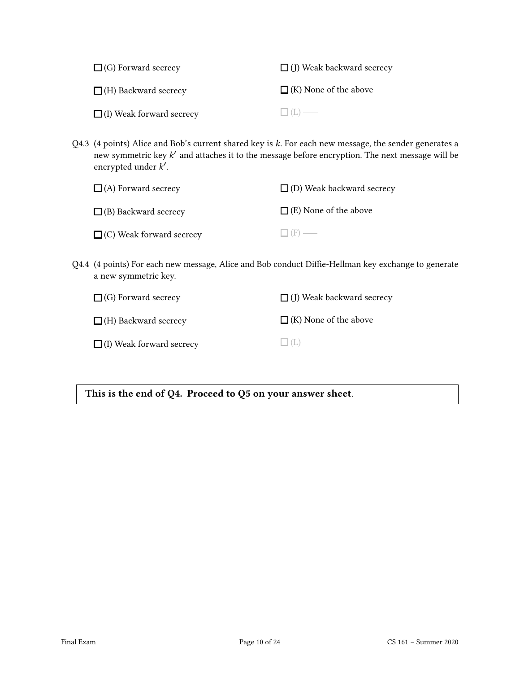| $\Box$ (G) Forward secrecy      | $\Box$ (J) Weak backward secrecy |
|---------------------------------|----------------------------------|
| $\Box$ (H) Backward secrecy     | $\Box$ (K) None of the above     |
| $\Box$ (I) Weak forward secrecy | $\Box$ (L) —                     |

Q4.3 (4 points) Alice and Bob's current shared key is  $k$ . For each new message, the sender generates a new symmetric key  $k^\prime$  and attaches it to the message before encryption. The next message will be encrypted under  $k'$ .

| $\Box$ (A) Forward secrecy      | $\Box$ (D) Weak backward secrecy |
|---------------------------------|----------------------------------|
| $\Box$ (B) Backward secrecy     | $\Box$ (E) None of the above     |
| $\Box$ (C) Weak forward secrecy | $\Box$ (F) —                     |

Q4.4 (4 points) For each new message, Alice and Bob conduct Diffie-Hellman key exchange to generate a new symmetric key.

| $\Box$ (G) Forward secrecy      | $\Box$ (J) Weak backward secrecy |
|---------------------------------|----------------------------------|
| $\Box$ (H) Backward secrecy     | $\Box$ (K) None of the above     |
| $\Box$ (I) Weak forward secrecy | $\Box$ (L) —                     |

This is the end of Q4. Proceed to Q5 on your answer sheet.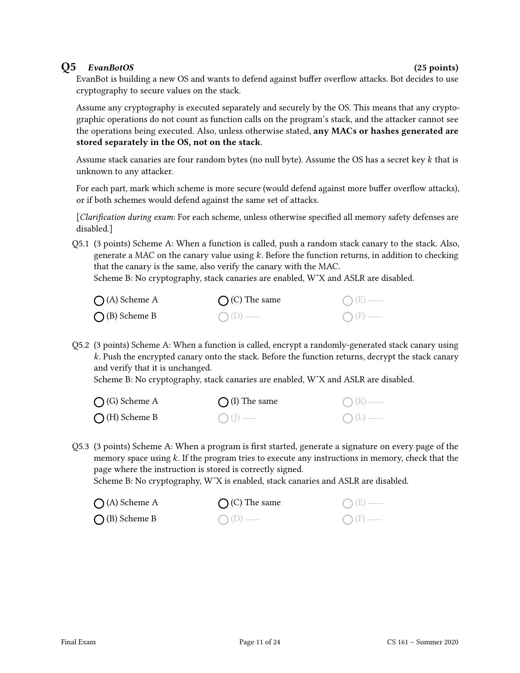### Q5 EvanBotOS (25 points)

EvanBot is building a new OS and wants to defend against buffer overflow attacks. Bot decides to use cryptography to secure values on the stack.

Assume any cryptography is executed separately and securely by the OS. This means that any cryptographic operations do not count as function calls on the program's stack, and the attacker cannot see the operations being executed. Also, unless otherwise stated, any MACs or hashes generated are stored separately in the OS, not on the stack.

Assume stack canaries are four random bytes (no null byte). Assume the OS has a secret key  $k$  that is unknown to any attacker.

For each part, mark which scheme is more secure (would defend against more buffer overflow attacks), or if both schemes would defend against the same set of attacks.

 $[Clarification during exam: For each scheme, unless otherwise specified all memory safety defenses are$ disabled.]

Q5.1 (3 points) Scheme A: When a function is called, push a random stack canary to the stack. Also, generate a MAC on the canary value using  $k$ . Before the function returns, in addition to checking that the canary is the same, also verify the canary with the MAC.

Scheme B: No cryptography, stack canaries are enabled, WˆX and ASLR are disabled.

| $\bigcap$ (A) Scheme A | $\bigcap$ (C) The same | $O(E)$ —         |
|------------------------|------------------------|------------------|
| $\bigcap$ (B) Scheme B | $O(D)$ —               | $\bigcirc$ (F) — |

Q5.2 (3 points) Scheme A: When a function is called, encrypt a randomly-generated stack canary using k. Push the encrypted canary onto the stack. Before the function returns, decrypt the stack canary and verify that it is unchanged.

Scheme B: No cryptography, stack canaries are enabled, WˆX and ASLR are disabled.

| $\bigcap$ (G) Scheme A | $\bigcap$ (I) The same | $\bigcap (K)$ — |
|------------------------|------------------------|-----------------|
| $\bigcap$ (H) Scheme B | $\bigcirc$ (J) —       | $O(L)$ —        |

Q5.3 (3 points) Scheme A: When a program is first started, generate a signature on every page of the memory space using  $k$ . If the program tries to execute any instructions in memory, check that the page where the instruction is stored is correctly signed.

Scheme B: No cryptography, W^X is enabled, stack canaries and ASLR are disabled.

| $\bigcap$ (A) Scheme A | $\bigcap$ (C) The same | $\bigcirc$ (E) $-$ |
|------------------------|------------------------|--------------------|
| $\bigcap$ (B) Scheme B | $O(D)$ —               | $\bigcirc$ (F) $-$ |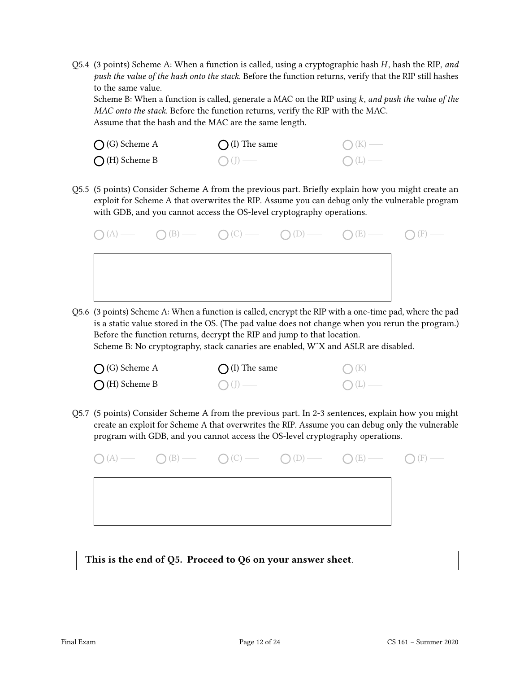Q5.4 (3 points) Scheme A: When a function is called, using a cryptographic hash  $H$ , hash the RIP, and push the value of the hash onto the stack. Before the function returns, verify that the RIP still hashes to the same value.

Scheme B: When a function is called, generate a MAC on the RIP using  $k$ , and push the value of the MAC onto the stack. Before the function returns, verify the RIP with the MAC. Assume that the hash and the MAC are the same length.

| $\bigcap$ (G) Scheme A | $\bigcap$ (I) The same | $O(K)$ — |
|------------------------|------------------------|----------|
| $\bigcap$ (H) Scheme B | $\bigcirc$ (J) —       | $O(L)$ — |

Q5.5 (5 points) Consider Scheme A from the previous part. Briefly explain how you might create an exploit for Scheme A that overwrites the RIP. Assume you can debug only the vulnerable program with GDB, and you cannot access the OS-level cryptography operations.



Q5.6 (3 points) Scheme A: When a function is called, encrypt the RIP with a one-time pad, where the pad is a static value stored in the OS. (The pad value does not change when you rerun the program.) Before the function returns, decrypt the RIP and jump to that location.

Scheme B: No cryptography, stack canaries are enabled, WˆX and ASLR are disabled.

| $\bigcap$ (G) Scheme A | $\bigcap$ (I) The same | $\bigcap (K)$ —  |
|------------------------|------------------------|------------------|
| $\bigcap$ (H) Scheme B | $O(J)$ —               | $\bigcirc$ (L) — |

Q5.7 (5 points) Consider Scheme A from the previous part. In 2-3 sentences, explain how you might create an exploit for Scheme A that overwrites the RIP. Assume you can debug only the vulnerable program with GDB, and you cannot access the OS-level cryptography operations.

|  | $\bigcirc (A) \longrightarrow \bigcirc (B) \longrightarrow \bigcirc (C) \longrightarrow \bigcirc (D) \longrightarrow \bigcirc (E) \longrightarrow \bigcirc (F) \longrightarrow$ |  |
|--|---------------------------------------------------------------------------------------------------------------------------------------------------------------------------------|--|
|  |                                                                                                                                                                                 |  |
|  |                                                                                                                                                                                 |  |
|  |                                                                                                                                                                                 |  |

This is the end of Q5. Proceed to Q6 on your answer sheet.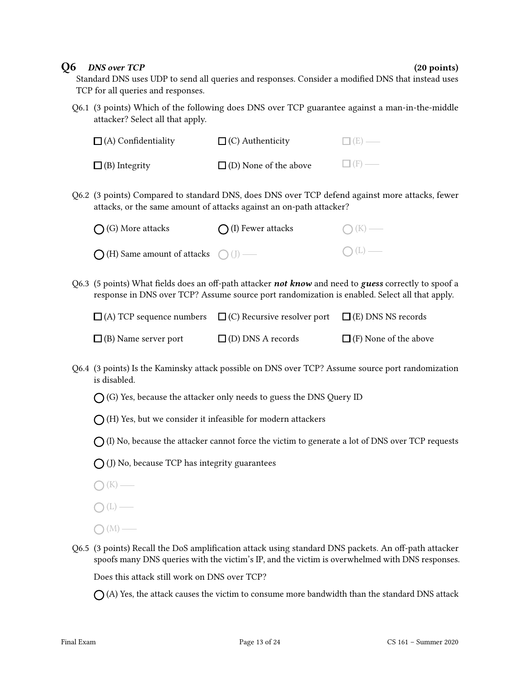### Q6 DNS over TCP (20 points)

Standard DNS uses UDP to send all queries and responses. Consider a modified DNS that instead uses TCP for all queries and responses.

Q6.1 (3 points) Which of the following does DNS over TCP guarantee against a man-in-the-middle attacker? Select all that apply.

| $\Box$ (A) Confidentiality | $\Box$ (C) Authenticity      | $\Box$ (E) — |
|----------------------------|------------------------------|--------------|
| $\Box$ (B) Integrity       | $\Box$ (D) None of the above | $\Box$ (F) — |

Q6.2 (3 points) Compared to standard DNS, does DNS over TCP defend against more attacks, fewer attacks, or the same amount of attacks against an on-path attacker?

| $\bigcap$ (G) More attacks                           | $\bigcap$ (I) Fewer attacks | $\bigcap (K)$ — |
|------------------------------------------------------|-----------------------------|-----------------|
| $\bigcap$ (H) Same amount of attacks $\bigcap$ (J) — |                             | $\bigcap(L)$ —  |

Q6.3 (5 points) What fields does an off-path attacker **not know** and need to guess correctly to spoof a response in DNS over TCP? Assume source port randomization is enabled. Select all that apply.

|                             | $\Box$ (A) TCP sequence numbers $\Box$ (C) Recursive resolver port | $\Box$ (E) DNS NS records    |
|-----------------------------|--------------------------------------------------------------------|------------------------------|
| $\Box$ (B) Name server port | $\Box$ (D) DNS A records                                           | $\Box$ (F) None of the above |

- Q6.4 (3 points) Is the Kaminsky attack possible on DNS over TCP? Assume source port randomization is disabled.
	- $\bigcap$  (G) Yes, because the attacker only needs to guess the DNS Query ID
	- $\bigcap$  (H) Yes, but we consider it infeasible for modern attackers
	- $\bigcap$  (I) No, because the attacker cannot force the victim to generate a lot of DNS over TCP requests
	- $\bigcap$  (J) No, because TCP has integrity guarantees
	- $\bigcap (K)$  —
	- $\bigcap(L)$  —
	- $\bigcirc$  (M) —
- Q6.5 (3 points) Recall the DoS amplification attack using standard DNS packets. An off-path attacker spoofs many DNS queries with the victim's IP, and the victim is overwhelmed with DNS responses.

Does this attack still work on DNS over TCP?

 $\bigcap$  (A) Yes, the attack causes the victim to consume more bandwidth than the standard DNS attack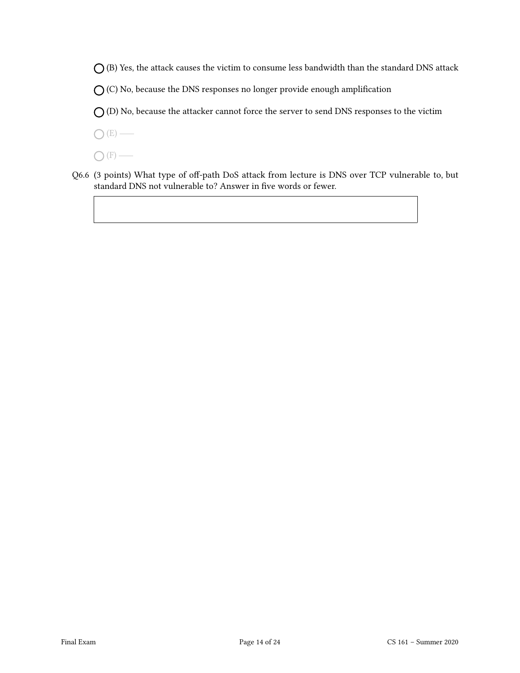$\bigcirc$  (B) Yes, the attack causes the victim to consume less bandwidth than the standard DNS attack

 $O$  (C) No, because the DNS responses no longer provide enough amplification

 $O$  (D) No, because the attacker cannot force the server to send DNS responses to the victim

 $O(E)$  —

 $\bigcap$  (F) —

Q6.6 (3 points) What type of off-path DoS attack from lecture is DNS over TCP vulnerable to, but standard DNS not vulnerable to? Answer in five words or fewer.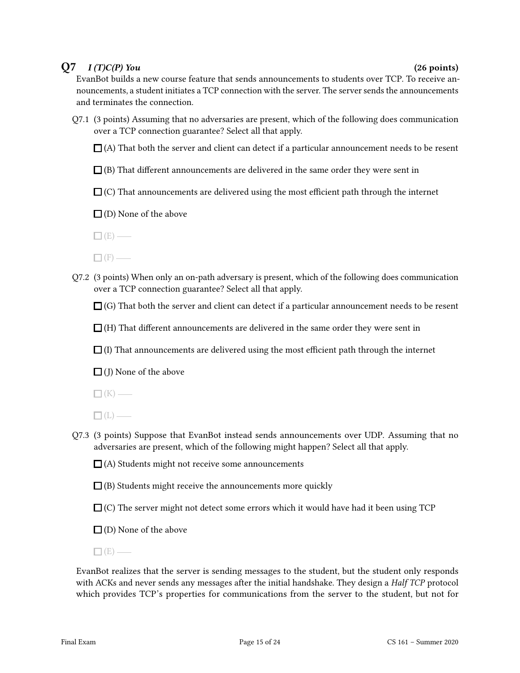### $Q7 \quad I(T)C(P)$  You (26 points)

EvanBot builds a new course feature that sends announcements to students over TCP. To receive announcements, a student initiates a TCP connection with the server. The server sends the announcements and terminates the connection.

Q7.1 (3 points) Assuming that no adversaries are present, which of the following does communication over a TCP connection guarantee? Select all that apply.

 $\Box$  (A) That both the server and client can detect if a particular announcement needs to be resent

- $\Box$ (B) That different announcements are delivered in the same order they were sent in
- $\Box$  (C) That announcements are delivered using the most efficient path through the internet
- $\Box$  (D) None of the above
- $\Box$  (E) —
- $\Box$ mbox{ (F)} \xrightarrow{\quad \quad \quad }
- Q7.2 (3 points) When only an on-path adversary is present, which of the following does communication over a TCP connection guarantee? Select all that apply.

 $\Box$  (G) That both the server and client can detect if a particular announcement needs to be resent

 $\Box$  (H) That different announcements are delivered in the same order they were sent in

 $\Box$  (I) That announcements are delivered using the most efficient path through the internet

 $\Box$ (I) None of the above

 $\Box$ (K) —

- $\Box$ (L) —
- Q7.3 (3 points) Suppose that EvanBot instead sends announcements over UDP. Assuming that no adversaries are present, which of the following might happen? Select all that apply.

 $\Box$  (A) Students might not receive some announcements

- $\Box$  (B) Students might receive the announcements more quickly
- $\Box$  (C) The server might not detect some errors which it would have had it been using TCP
- $\square$  (D) None of the above
- $\Box$  (E) —

EvanBot realizes that the server is sending messages to the student, but the student only responds with ACKs and never sends any messages after the initial handshake. They design a *Half TCP* protocol which provides TCP's properties for communications from the server to the student, but not for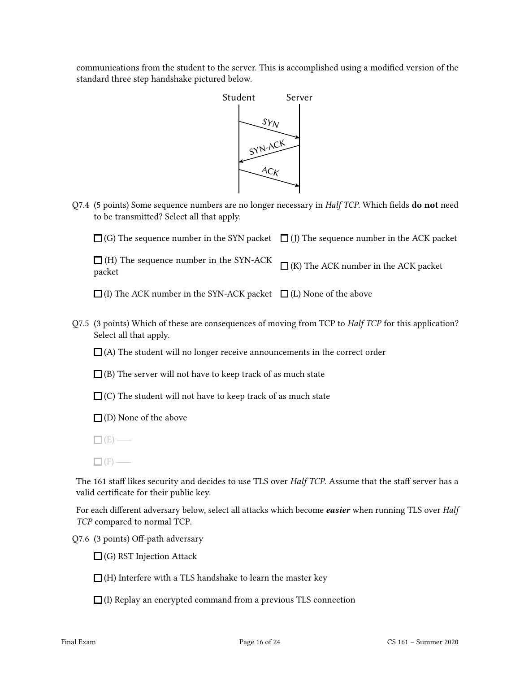communications from the student to the server. This is accomplished using a modified version of the standard three step handshake pictured below.



Q7.4 (5 points) Some sequence numbers are no longer necessary in Half TCP. Which fields do not need to be transmitted? Select all that apply.

(G) The sequence number in the SYN packet  $\;\;\;\Box$  (J) The sequence number in the ACK packet

 $\Box$  (H) The sequence number in the SYN-ACK packet  $\Box$  (K) The ACK number in the ACK packet

(I) The ACK number in the SYN-ACK packet  $\Box$  (L) None of the above

Q7.5 (3 points) Which of these are consequences of moving from TCP to *Half TCP* for this application? Select all that apply.

 $\Box$ (A) The student will no longer receive announcements in the correct order

 $\Box$  (B) The server will not have to keep track of as much state

 $\Box$  (C) The student will not have to keep track of as much state

 $\square$  (D) None of the above

 $\Box$  (E) —

The 161 staff likes security and decides to use TLS over Half TCP. Assume that the staff server has a valid certificate for their public key.

For each different adversary below, select all attacks which become easier when running TLS over Half TCP compared to normal TCP.

Q7.6 (3 points) Off-path adversary

 $\Box$  (G) RST Injection Attack

 $\Box$  (H) Interfere with a TLS handshake to learn the master key

 $\Box$  (I) Replay an encrypted command from a previous TLS connection

 $\Box$  (F) —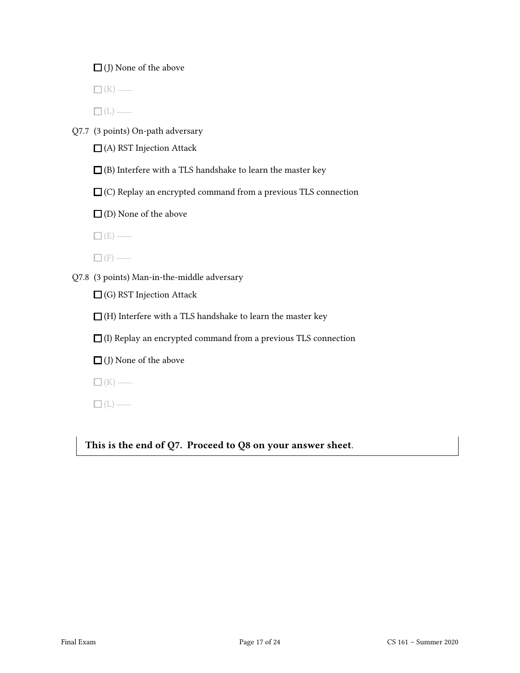$\Box$  (J) None of the above

 $\Box$ (K) —

 $\Box$ (L) —

Q7.7 (3 points) On-path adversary

 $\Box$  (A) RST Injection Attack

 $\square$  (B) Interfere with a TLS handshake to learn the master key

 $\square$  (C) Replay an encrypted command from a previous TLS connection

 $\Box$  (D) None of the above

 $\square$  (E) —

 $\Box$ m (F)

Q7.8 (3 points) Man-in-the-middle adversary

 $\Box$  (G) RST Injection Attack

 $\Box$  (H) Interfere with a TLS handshake to learn the master key

 $\Box$  (I) Replay an encrypted command from a previous TLS connection

 $\Box$  (J) None of the above

 $\square$ (K) —

 $\square$ (L) —

This is the end of Q7. Proceed to Q8 on your answer sheet.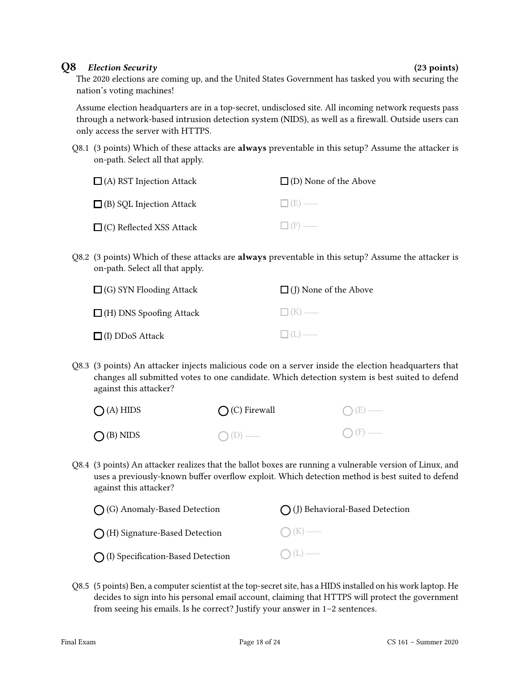### Q8 Election Security (23 points)

The 2020 elections are coming up, and the United States Government has tasked you with securing the nation's voting machines!

Assume election headquarters are in a top-secret, undisclosed site. All incoming network requests pass through a network-based intrusion detection system (NIDS), as well as a firewall. Outside users can only access the server with HTTPS.

Q8.1 (3 points) Which of these attacks are **always** preventable in this setup? Assume the attacker is on-path. Select all that apply.

| $\Box$ (A) RST Injection Attack | $\Box$ (D) None of the Above |
|---------------------------------|------------------------------|
| $\Box$ (B) SQL Injection Attack | $\Box$ (E) —                 |
| $\Box$ (C) Reflected XSS Attack | $\Box$ (F) —                 |

Q8.2 (3 points) Which of these attacks are **always** preventable in this setup? Assume the attacker is on-path. Select all that apply.

| $\Box$ (G) SYN Flooding Attack | $\Box$ (J) None of the Above |
|--------------------------------|------------------------------|
| $\Box$ (H) DNS Spoofing Attack | $\Box$ (K) —                 |
| $\Box$ (I) DDoS Attack         | $\Box$ (L) —                 |

Q8.3 (3 points) An attacker injects malicious code on a server inside the election headquarters that changes all submitted votes to one candidate. Which detection system is best suited to defend against this attacker?

| $O(A)$ HIDS        | $\bigcap$ (C) Firewall | $O(E)$ —        |
|--------------------|------------------------|-----------------|
| $\bigcap$ (B) NIDS | $O(D)$ —               | $\bigcap$ (F) — |

Q8.4 (3 points) An attacker realizes that the ballot boxes are running a vulnerable version of Linux, and uses a previously-known buffer overflow exploit. Which detection method is best suited to defend against this attacker?

| $\bigcap$ (G) Anomaly-Based Detection       | $\bigcap$ (J) Behavioral-Based Detection |
|---------------------------------------------|------------------------------------------|
| $\bigcap$ (H) Signature-Based Detection     | $\bigcap (K)$ —                          |
| $\bigcap$ (I) Specification-Based Detection | $O(L)$ —                                 |

Q8.5 (5 points) Ben, a computer scientist at the top-secret site, has a HIDS installed on his work laptop. He decides to sign into his personal email account, claiming that HTTPS will protect the government from seeing his emails. Is he correct? Justify your answer in 1–2 sentences.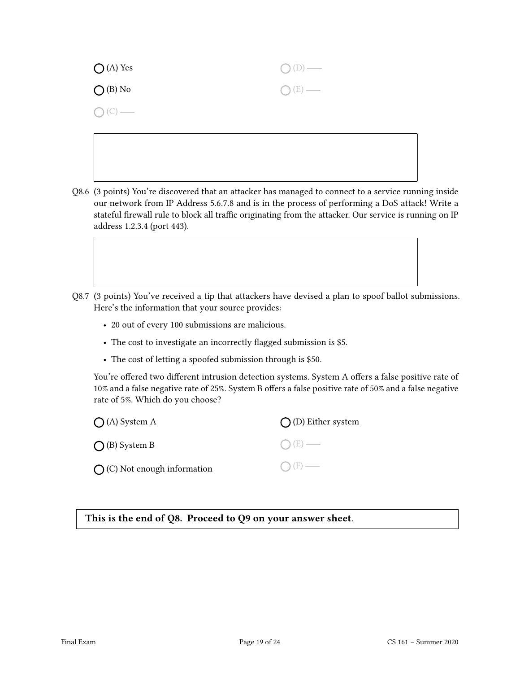| $\bigcirc$ (A) Yes | $O(D)$ — |
|--------------------|----------|
| $O$ (B) No         | $O(E)$ — |
| $O(C)$ —           |          |

- Q8.6 (3 points) You're discovered that an attacker has managed to connect to a service running inside our network from IP Address 5.6.7.8 and is in the process of performing a DoS attack! Write a stateful firewall rule to block all traffic originating from the attacker. Our service is running on IP address 1.2.3.4 (port 443).
- Q8.7 (3 points) You've received a tip that attackers have devised a plan to spoof ballot submissions. Here's the information that your source provides:
	- 20 out of every 100 submissions are malicious.
	- The cost to investigate an incorrectly flagged submission is \$5.
	- The cost of letting a spoofed submission through is \$50.

You're offered two different intrusion detection systems. System A offers a false positive rate of 10% and a false negative rate of 25%. System B offers a false positive rate of 50% and a false negative rate of 5%. Which do you choose?

| $\bigcap$ (A) System A               | $\bigcap$ (D) Either system |
|--------------------------------------|-----------------------------|
| $\bigcap$ (B) System B               | $O(E)$ —                    |
| $\bigcap$ (C) Not enough information | $\bigcap$ (F) —             |

This is the end of Q8. Proceed to Q9 on your answer sheet.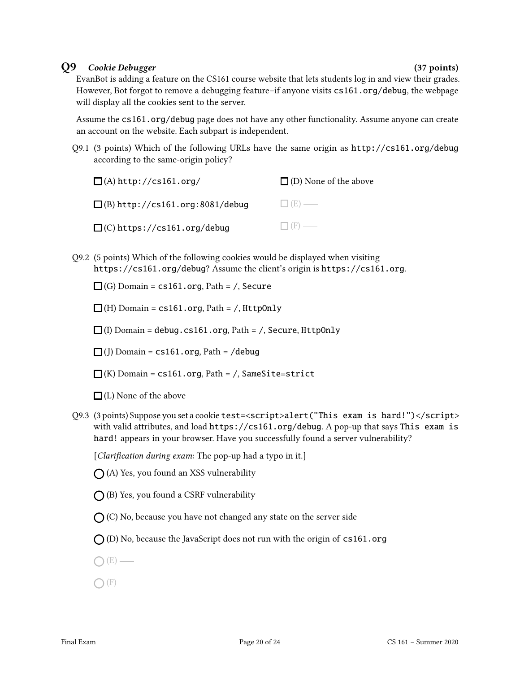### Q9 Cookie Debugger (37 points)

EvanBot is adding a feature on the CS161 course website that lets students log in and view their grades. However, Bot forgot to remove a debugging feature–if anyone visits cs161.org/debug, the webpage will display all the cookies sent to the server.

Assume the cs161.org/debug page does not have any other functionality. Assume anyone can create an account on the website. Each subpart is independent.

Q9.1 (3 points) Which of the following URLs have the same origin as http://cs161.org/debug according to the same-origin policy?

| $\Box$ (A) http://cs161.org/           | $\Box$ (D) None of the above |
|----------------------------------------|------------------------------|
| $\Box$ (B) http://cs161.org:8081/debug | $\Box$ (E) —                 |
| $\Box$ (C) https://cs161.org/debug     | $\Box$ (F) —                 |

- Q9.2 (5 points) Which of the following cookies would be displayed when visiting https://cs161.org/debug? Assume the client's origin is https://cs161.org.
	- $\Box$  (G) Domain = cs161.org, Path = /, Secure
	- $\Box$ (H) Domain = cs161.org, Path = /, HttpOnly
	- $\Box$ (I) Domain = debug.cs161.org, Path = /, Secure, HttpOnly
	- $\Box$ (J) Domain = cs161.org, Path = /debug
	- $\Box$ (K) Domain = cs161.org, Path = /, SameSite=strict
	- $\Box$  (L) None of the above
- Q9.3 (3 points) Suppose you set a cookie test=<script>alert("This exam is hard!")</script> with valid attributes, and load https://cs161.org/debug. A pop-up that says This exam is hard! appears in your browser. Have you successfully found a server vulnerability?

[Clarification during exam: The pop-up had a typo in it.]

- $\bigcap$  (A) Yes, you found an XSS vulnerability
- $\bigcap$  (B) Yes, you found a CSRF vulnerability
- $\bigcap$  (C) No, because you have not changed any state on the server side
- $\bigcap$  (D) No, because the JavaScript does not run with the origin of cs161.org
- $O(E)$  —
- $\bigcap$  (F) —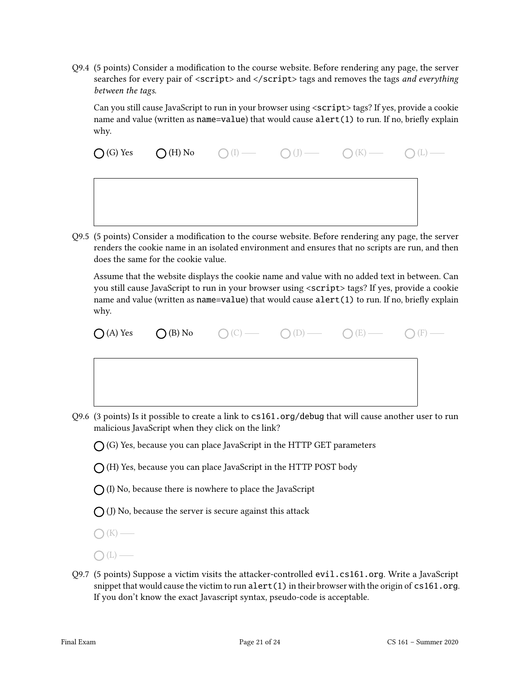Q9.4 (5 points) Consider a modification to the course website. Before rendering any page, the server searches for every pair of <script> and </script> tags and removes the tags and everything between the tags.

Can you still cause JavaScript to run in your browser using <script> tags? If yes, provide a cookie name and value (written as name=value) that would cause alert(1) to run. If no, briefly explain why.

 $\bigcap$  (G) Yes  $\bigcap$  (H) No  $\bigcap$  (I)  $\longrightarrow$   $\bigcap$  (J)  $\longrightarrow$   $\bigcap$  (K)  $\longrightarrow$   $\bigcap$  (L)  $\longrightarrow$ 

Q9.5 (5 points) Consider a modification to the course website. Before rendering any page, the server renders the cookie name in an isolated environment and ensures that no scripts are run, and then does the same for the cookie value.

Assume that the website displays the cookie name and value with no added text in between. Can you still cause JavaScript to run in your browser using <script> tags? If yes, provide a cookie name and value (written as name=value) that would cause  $\text{alert}(1)$  to run. If no, briefly explain why.

 $\bigcap (A)$  Yes  $\bigcap (B)$  No  $\bigcirc$  (C)  $\longrightarrow$   $\bigcirc$  (D)  $\longrightarrow$   $\bigcirc$  (E)  $\longrightarrow$   $\bigcirc$  (F)  $\longrightarrow$ 

Q9.6 (3 points) Is it possible to create a link to cs161.org/debug that will cause another user to run malicious JavaScript when they click on the link?

 $\bigcap$  (G) Yes, because you can place JavaScript in the HTTP GET parameters

 $\bigcap$  (H) Yes, because you can place JavaScript in the HTTP POST body

 $\bigcap$  (I) No, because there is nowhere to place the JavaScript

 $\bigcap$  (J) No, because the server is secure against this attack

 $\bigcap (K)$  —

- $\bigcap(L)$  —
- Q9.7 (5 points) Suppose a victim visits the attacker-controlled evil.cs161.org. Write a JavaScript snippet that would cause the victim to run alert  $(1)$  in their browser with the origin of  $cs161$ .org. If you don't know the exact Javascript syntax, pseudo-code is acceptable.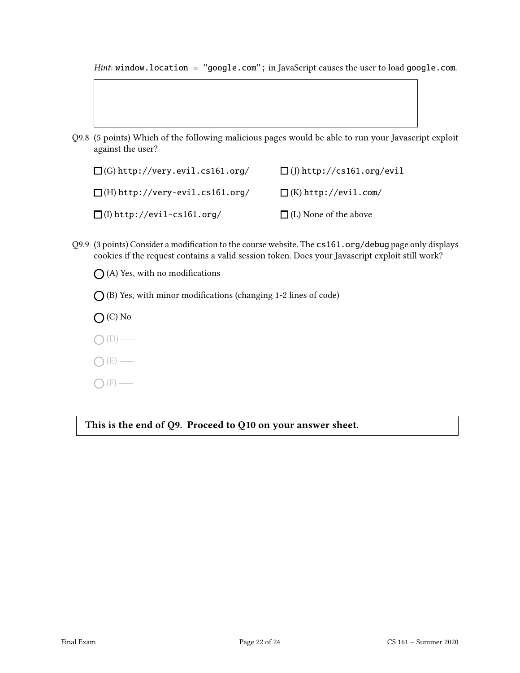Hint: window.location = "google.com"; in JavaScript causes the user to load google.com.

- 
- Q9.8 (5 points) Which of the following malicious pages would be able to run your Javascript exploit against the user?

| $\Box$ (G) http://very.evil.cs161.org/ | $\Box$ (J) http://cs161.org/evil |
|----------------------------------------|----------------------------------|
| $\Box$ (H) http://very-evil.cs161.org/ | $\Box$ (K) http://evil.com/      |
| $\Box$ (I) http://evil-cs161.org/      | $\Box$ (L) None of the above     |

- Q9.9 (3 points) Consider a modification to the course website. The cs161.org/debug page only displays cookies if the request contains a valid session token. Does your Javascript exploit still work?
	- $\bigcap$  (A) Yes, with no modifications
	- $\bigcap$  (B) Yes, with minor modifications (changing 1-2 lines of code)
	- $O(O)$  No
	- $O(D)$  —
	- $O(E)$  —
	- $\bigcap$  (F) —

This is the end of Q9. Proceed to Q10 on your answer sheet.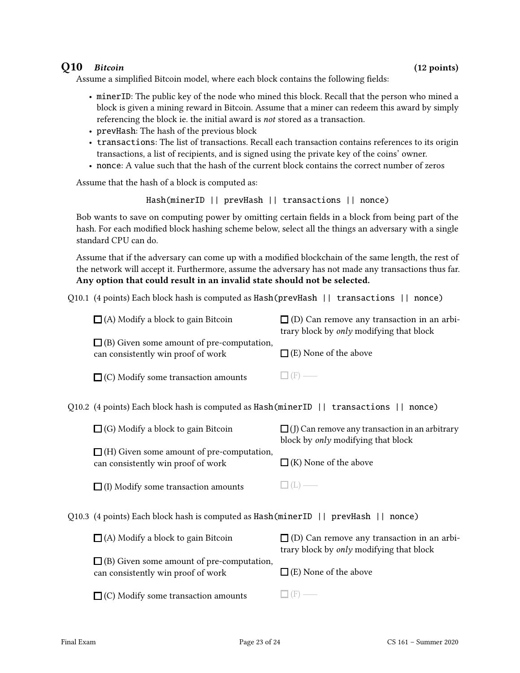### Q10 Bitcoin (12 points)

Assume a simplified Bitcoin model, where each block contains the following fields:

- minerID: The public key of the node who mined this block. Recall that the person who mined a block is given a mining reward in Bitcoin. Assume that a miner can redeem this award by simply referencing the block ie. the initial award is not stored as a transaction.
- prevHash: The hash of the previous block
- transactions: The list of transactions. Recall each transaction contains references to its origin transactions, a list of recipients, and is signed using the private key of the coins' owner.
- nonce: A value such that the hash of the current block contains the correct number of zeros

Assume that the hash of a block is computed as:

Hash(minerID || prevHash || transactions || nonce)

Bob wants to save on computing power by omitting certain fields in a block from being part of the hash. For each modified block hashing scheme below, select all the things an adversary with a single standard CPU can do.

Assume that if the adversary can come up with a modied blockchain of the same length, the rest of the network will accept it. Furthermore, assume the adversary has not made any transactions thus far. Any option that could result in an invalid state should not be selected.

Q10.1 (4 points) Each block hash is computed as Hash(prevHash || transactions || nonce)

| $\Box$ (A) Modify a block to gain Bitcoin                                              | $\Box$ (D) Can remove any transaction in an arbi-<br>trary block by <i>only</i> modifying that block |
|----------------------------------------------------------------------------------------|------------------------------------------------------------------------------------------------------|
| $\Box$ (B) Given some amount of pre-computation,<br>can consistently win proof of work | $\Box$ (E) None of the above                                                                         |
| $\Box$ (C) Modify some transaction amounts                                             | $\Box$ (F) —                                                                                         |

Q10.2 (4 points) Each block hash is computed as Hash(minerID || transactions || nonce)

| $\Box$ (G) Modify a block to gain Bitcoin                                              | $\Box$ (J) Can remove any transaction in an arbitrary<br>block by <i>only</i> modifying that block |
|----------------------------------------------------------------------------------------|----------------------------------------------------------------------------------------------------|
| $\Box$ (H) Given some amount of pre-computation,<br>can consistently win proof of work | $\Box$ (K) None of the above                                                                       |
| $\Box$ (I) Modify some transaction amounts                                             | $\Box(L)$                                                                                          |

Q10.3 (4 points) Each block hash is computed as Hash(minerID || prevHash || nonce)

| $\Box$ (A) Modify a block to gain Bitcoin                                              | $\Box$ (D) Can remove any transaction in an arbi-<br>trary block by <i>only</i> modifying that block |
|----------------------------------------------------------------------------------------|------------------------------------------------------------------------------------------------------|
| $\Box$ (B) Given some amount of pre-computation,<br>can consistently win proof of work | $\Box$ (E) None of the above                                                                         |
| $\Box$ (C) Modify some transaction amounts                                             | $\Box$ (F) —                                                                                         |